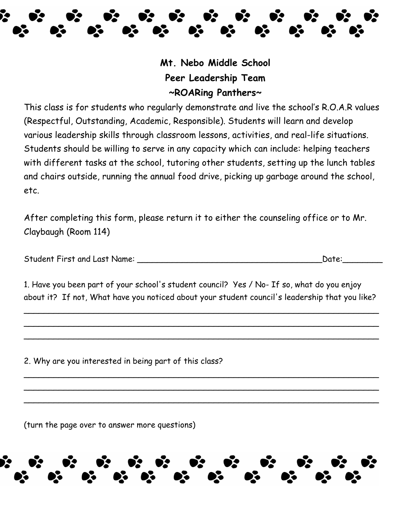

**Mt. Nebo Middle School Peer Leadership Team ~ROARing Panthers~**

This class is for students who regularly demonstrate and live the school's R.O.A.R values (Respectful, Outstanding, Academic, Responsible). Students will learn and develop various leadership skills through classroom lessons, activities, and real-life situations. Students should be willing to serve in any capacity which can include: helping teachers with different tasks at the school, tutoring other students, setting up the lunch tables and chairs outside, running the annual food drive, picking up garbage around the school, etc.

After completing this form, please return it to either the counseling office or to Mr. Claybaugh (Room 114)

| <b>Student First and Last Name:</b> |  | Date: |
|-------------------------------------|--|-------|
|-------------------------------------|--|-------|

1. Have you been part of your school's student council? Yes / No- If so, what do you enjoy about it? If not, What have you noticed about your student council's leadership that you like?

 $\overline{\phantom{a}}$  $\overline{\phantom{a}}$ \_\_\_\_\_\_\_\_\_\_\_\_\_\_\_\_\_\_\_\_\_\_\_\_\_\_\_\_\_\_\_\_\_\_\_\_\_\_\_\_\_\_\_\_\_\_\_\_\_\_\_\_\_\_\_\_\_\_\_\_\_\_\_\_\_\_\_\_\_\_\_

 $\overline{\phantom{a}}$ \_\_\_\_\_\_\_\_\_\_\_\_\_\_\_\_\_\_\_\_\_\_\_\_\_\_\_\_\_\_\_\_\_\_\_\_\_\_\_\_\_\_\_\_\_\_\_\_\_\_\_\_\_\_\_\_\_\_\_\_\_\_\_\_\_\_\_\_\_\_\_  $\overline{\phantom{a}}$ 

2. Why are you interested in being part of this class?

(turn the page over to answer more questions)